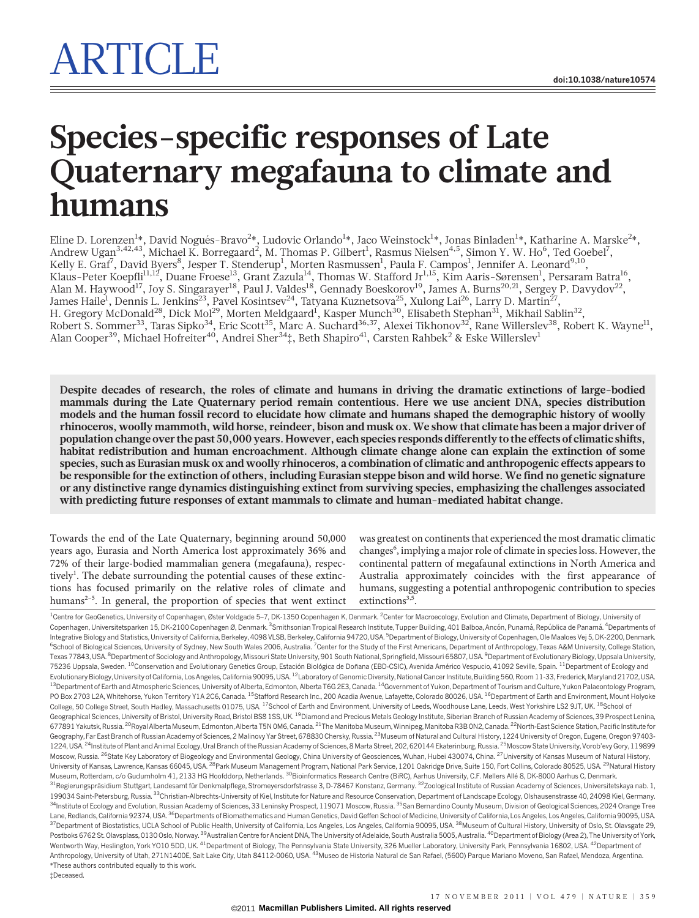# Species-specific responses of Late Quaternary megafauna to climate and humans

Eline D. Lorenzen<sup>1</sup>\*, David Nogués-Bravo<sup>2</sup>\*, Ludovic Orlando<sup>1</sup>\*, Jaco Weinstock<sup>1</sup>\*, Jonas Binladen<sup>1</sup>\*, Katharine A. Marske<sup>2</sup>\*, Andrew Ugan<sup>3,42,43</sup>, Michael K. Borregaard<sup>2</sup>, M. Thomas P. Gilbert<sup>1</sup>, Rasmus Nielsen<sup>4,5</sup>, Simon Y. W. Ho<sup>6</sup>, Ted Goebel<sup>7</sup>, Kelly E. Graf<sup>7</sup>, David Byers<sup>8</sup>, Jesper T. Stenderup<sup>1</sup>, Morten Rasmussen<sup>1</sup>, Paula F. Campos<sup>1</sup>, Jennifer A. Leonard<sup>9,10</sup>, Klaus-Peter Koepfli $^{11,12}$ , Duane Froese $^{13}$ , Grant Zazula $^{14}$ , Thomas W. Stafford Jr $^{1,15}$ , Kim Aaris-Sørensen $^1$ , Persaram Batra $^{16}$ , Alan M. Haywood<sup>17</sup>, Joy S. Singarayer<sup>18</sup>, Paul J. Valdes<sup>18</sup>, Gennady Boeskorov<sup>19</sup>, James A. Burns<sup>20,21</sup>, Sergey P. Davydov<sup>22</sup>, James Haile<sup>1</sup>, Dennis L. Jenkins<sup>23</sup>, Pavel Kosintsev<sup>24</sup>, Tatyana Kuznetsova<sup>25</sup>, Xulong Lai<sup>26</sup>, Larry D. Martin<sup>27</sup>, H. Gregory McDonald<sup>28</sup>, Dick Mol<sup>29</sup>, Morten Meldgaard<sup>1</sup>, Kasper Munch<sup>30</sup>, Elisabeth Stephan<sup>31</sup>, Mikhail Sablin<sup>32</sup>, Robert S. Sommer $^{33}$ , Taras Sipko $^{34}$ , Eric Scott $^{35}$ , Marc A. Suchard $^{36,37}$ , Alexei Tikhonov $^{32}$ , Rane Willerslev $^{38}$ , Robert K. Wayne $^{11}$ , Alan Cooper $^{39}$ , Michael Hofreiter $^{40}$ , Andrei Sher $^{34}$ ‡, Beth Shapiro $^{41}$ , Carsten Rahbek $^2$  & Eske Willerslev $^{\rm l}$ 

Despite decades of research, the roles of climate and humans in driving the dramatic extinctions of large-bodied mammals during the Late Quaternary period remain contentious. Here we use ancient DNA, species distribution models and the human fossil record to elucidate how climate and humans shaped the demographic history of woolly rhinoceros, woolly mammoth, wild horse, reindeer, bison and musk ox. We show that climate has been a major driver of population change over the past 50,000 years. However, each species responds differently to the effects of climatic shifts, habitat redistribution and human encroachment. Although climate change alone can explain the extinction of some species, such as Eurasian musk ox and woolly rhinoceros, a combination of climatic and anthropogenic effects appears to be responsible for the extinction of others, including Eurasian steppe bison and wild horse. We find no genetic signature or any distinctive range dynamics distinguishing extinct from surviving species, emphasizing the challenges associated with predicting future responses of extant mammals to climate and human-mediated habitat change.

Towards the end of the Late Quaternary, beginning around 50,000 years ago, Eurasia and North America lost approximately 36% and 72% of their large-bodied mammalian genera (megafauna), respectively<sup>1</sup>. The debate surrounding the potential causes of these extinctions has focused primarily on the relative roles of climate and humans $2-5$ . In general, the proportion of species that went extinct

was greatest on continents that experienced the most dramatic climatic changes<sup>6</sup>, implying a major role of climate in species loss. However, the continental pattern of megafaunal extinctions in North America and Australia approximately coincides with the first appearance of humans, suggesting a potential anthropogenic contribution to species extinctions<sup>3,5</sup>

\*These authors contributed equally to this work. <sup>1</sup>Centre for GeoGenetics, University of Copenhagen, Øster Voldgade 5–7, DK-1350 Copenhagen K, Denmark. <sup>2</sup>Center for Macroecology, Evolution and Climate, Department of Biology, University of Copenhagen, Universitetsparken 15, DK-2100 Copenhagen Ø, Denmark. <sup>3</sup>Smithsonian Tropical Research Institute, Tupper Building, 401 Balboa, Ancón, Punamá, República de Panamá. <sup>4</sup>Departments o Integrative Biology and Statistics, University of California, Berkeley, 4098 VLSB, Berkeley, California 94720, USA. <sup>5</sup>Department of Biology, University of Copenhagen, Ole Maaloes Vej 5, DK-2200, Denmark <sup>6</sup>School of Biological Sciences, University of Sydney, New South Wales 2006, Australia. <sup>7</sup>Center for the Study of the First Americans, Department of Anthropology, Texas A&M University, College Station Texas 77843, USA. <sup>8</sup>Department of Sociology and Anthropology, Missouri State University, 901 South National, Springfield, Missouri 65807, USA. <sup>9</sup>Department of Evolutionary Biology, Uppsala University 75236 Uppsala, Sweden. <sup>10</sup>Conservation and Evolutionary Genetics Group, Estación Biológica de Doñana (EBD-CSIC), Avenida Américo Vespucio, 41092 Seville, Spain. <sup>11</sup> Department of Ecology and Evolutionary Biology, University of California, Los Angeles, California 90095, USA. 12Laboratory of Genomic Diversity, National Cancer Institute, Building 560, Room 11-33, Frederick, Maryland 21702, USA. <sup>13</sup>Department of Earth and Atmospheric Sciences, University of Alberta, Edmonton, Alberta T6G 2E3, Canada. <sup>14</sup>Government of Yukon, Department of Tourism and Culture, Yukon Palaeontology Program, PO Box 2703 L2A, Whitehorse, Yukon Territory Y1A 2C6, Canada. <sup>15</sup>Stafford Research Inc., 200 Acadia Avenue, Lafayette, Colorado 80026, USA. <sup>16</sup>Department of Earth and Environment, Mount Holyoke College, 50 College Street, South Hadley, Massachusetts 01075, USA. <sup>17</sup>School of Earth and Environment, University of Leeds, Woodhouse Lane, Leeds, West Yorkshire LS2 9JT, UK. <sup>18</sup>School of Geographical Sciences, University of Bristol, University Road, Bristol BS8 1SS, UK.<sup>19</sup>Diamond and Precious Metals Geology Institute, Siberian Branch of Russian Academy of Sciences, 39 Prospect Lenina, 677891 Yakutsk, Russia. 20Royal Alberta Museum, Edmonton, Alberta T5N 0M6, Canada. 21The Manitoba Museum, Winnipeg, Manitoba R3B 0N2, Canada. 22North-East Science Station, Pacific Institute for Geography, Far East Branch of Russian Academy of Sciences, 2 Malinovy Yar Street, 678830 Chersky, Russia. <sup>23</sup>Museum of Natural and Cultural History, 1224 University of Oregon, Eugene, Oregon 97403-1224, USA. <sup>24</sup>Institute of Plant and Animal Ecology, Ural Branch of the Russian Academy of Sciences, 8 Marta Street, 202, 620144 Ekaterinburg, Russia. <sup>25</sup>Moscow State University, Vorob'evy Gory, 119899 Moscow, Russia. <sup>26</sup>State Key Laboratory of Biogeology and Environmental Geology, China University of Geosciences, Wuhan, Hubei 430074, China. <sup>27</sup>University of Kansas Museum of Natural History, University of Kansas, Lawrence, Kansas 66045, USA. <sup>28</sup>Park Museum Management Program, National Park Service, 1201 Oakridge Drive, Suite 150, Fort Collins, Colorado 80525, USA. <sup>29</sup>Natural History Museum, Rotterdam, c/o Gudumholm 41, 2133 HG Hoofddorp, Netherlands. <sup>30</sup>Bioinformatics Research Centre (BiRC), Aarhus University, C.F. Møllers Allé 8, DK-8000 Aarhus C, Denmark. <sup>31</sup>Regierungspräsidium Stuttgart, Landesamt für Denkmalpflege, Stromeyersdorfstrasse 3, D-78467 Konstanz, Germany. <sup>32</sup>Zoological Institute of Russian Academy of Sciences, Universitetskaya nab. 1, 199034 Saint-Petersburg, Russia. <sup>33</sup>Christian-Albrechts-University of Kiel, Institute for Nature and Resource Conservation, Department of Landscape Ecology, Olshausenstrasse 40, 24098 Kiel, Germany. 34Institute of Ecology and Evolution, Russian Academy of Sciences, 33 Leninsky Prospect, 119071 Moscow, Russia. <sup>35</sup>San Bernardino County Museum, Division of Geological Sciences, 2024 Orange Tree Lane, Redlands, California 92374, USA. <sup>36</sup>Departments of Biomathematics and Human Genetics, David Geffen School of Medicine, University of California, Los Angeles, Los Angeles, California 90095, USA. <sup>37</sup>Department of Biostatistics, UCLA School of Public Health, University of California, Los Angeles, Los Angeles, California 90095, USA. <sup>38</sup>Museum of Cultural History, University of Oslo, St. Olavsgate 29, Postboks 6762 St. Olavsplass, 0130 Oslo, Norway. <sup>39</sup>Australian Centre for Ancient DNA, The University of Adelaide, South Australia 5005, Australia. <sup>40</sup>Department of Biology (Area 2), The University of York, Wentworth Way, Heslington, York YO10 5DD, UK. <sup>41</sup>Department of Biology, The Pennsylvania State University, 326 Mueller Laboratory, University Park, Pennsylvania 16802, USA. <sup>42</sup>Department of Anthropology, University of Utah, 271N1400E, Salt Lake City, Utah 84112-0060, USA. <sup>43</sup>Museo de Historia Natural de San Rafael, (5600) Parque Mariano Moveno, San Rafael, Mendoza, Argentina.

{Deceased.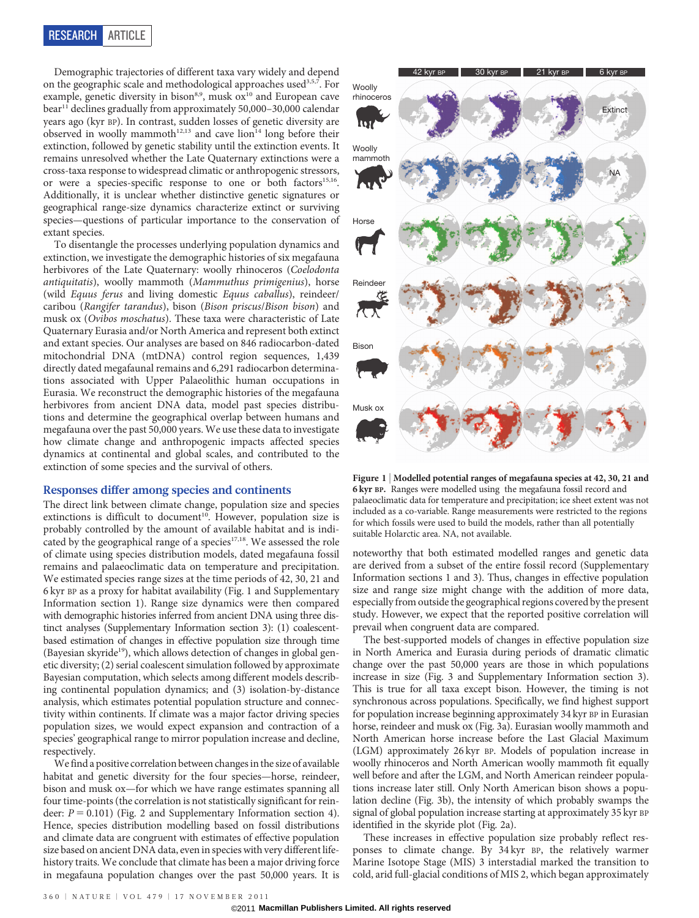Demographic trajectories of different taxa vary widely and depend on the geographic scale and methodological approaches used<sup>3,5,7</sup>. For example, genetic diversity in bison<sup>8,9</sup>, musk  $\alpha$ <sup>10</sup> and European cave bear<sup>11</sup> declines gradually from approximately 50,000-30,000 calendar years ago (kyr BP). In contrast, sudden losses of genetic diversity are observed in woolly mammoth<sup>12,13</sup> and cave lion<sup>14</sup> long before their extinction, followed by genetic stability until the extinction events. It remains unresolved whether the Late Quaternary extinctions were a cross-taxa response to widespread climatic or anthropogenic stressors, or were a species-specific response to one or both factors<sup>15,16</sup>. Additionally, it is unclear whether distinctive genetic signatures or geographical range-size dynamics characterize extinct or surviving species—questions of particular importance to the conservation of extant species.

To disentangle the processes underlying population dynamics and extinction, we investigate the demographic histories of six megafauna herbivores of the Late Quaternary: woolly rhinoceros (Coelodonta antiquitatis), woolly mammoth (Mammuthus primigenius), horse (wild Equus ferus and living domestic Equus caballus), reindeer/ caribou (Rangifer tarandus), bison (Bison priscus/Bison bison) and musk ox (Ovibos moschatus). These taxa were characteristic of Late Quaternary Eurasia and/or North America and represent both extinct and extant species. Our analyses are based on 846 radiocarbon-dated mitochondrial DNA (mtDNA) control region sequences, 1,439 directly dated megafaunal remains and 6,291 radiocarbon determinations associated with Upper Palaeolithic human occupations in Eurasia. We reconstruct the demographic histories of the megafauna herbivores from ancient DNA data, model past species distributions and determine the geographical overlap between humans and megafauna over the past 50,000 years. We use these data to investigate how climate change and anthropogenic impacts affected species dynamics at continental and global scales, and contributed to the extinction of some species and the survival of others.

### Responses differ among species and continents

The direct link between climate change, population size and species extinctions is difficult to document<sup>10</sup>. However, population size is probably controlled by the amount of available habitat and is indicated by the geographical range of a species<sup>17,18</sup>. We assessed the role of climate using species distribution models, dated megafauna fossil remains and palaeoclimatic data on temperature and precipitation. We estimated species range sizes at the time periods of 42, 30, 21 and 6 kyr BP as a proxy for habitat availability (Fig. 1 and Supplementary Information section 1). Range size dynamics were then compared with demographic histories inferred from ancient DNA using three distinct analyses (Supplementary Information section 3): (1) coalescentbased estimation of changes in effective population size through time (Bayesian skyride<sup>19</sup>), which allows detection of changes in global genetic diversity; (2) serial coalescent simulation followed by approximate Bayesian computation, which selects among different models describing continental population dynamics; and (3) isolation-by-distance analysis, which estimates potential population structure and connectivity within continents. If climate was a major factor driving species population sizes, we would expect expansion and contraction of a species' geographical range to mirror population increase and decline, respectively.

We find a positive correlation between changes in the size of available habitat and genetic diversity for the four species—horse, reindeer, bison and musk ox—for which we have range estimates spanning all four time-points (the correlation is not statistically significant for reindeer:  $P = 0.101$ ) (Fig. 2 and Supplementary Information section 4). Hence, species distribution modelling based on fossil distributions and climate data are congruent with estimates of effective population size based on ancient DNA data, even in species with very different lifehistory traits. We conclude that climate has been a major driving force in megafauna population changes over the past 50,000 years. It is



Figure 1 <sup>|</sup> Modelled potential ranges of megafauna species at 42, 30, 21 and 6 kyr BP. Ranges were modelled using the megafauna fossil record and palaeoclimatic data for temperature and precipitation; ice sheet extent was not included as a co-variable. Range measurements were restricted to the regions for which fossils were used to build the models, rather than all potentially suitable Holarctic area. NA, not available.

noteworthy that both estimated modelled ranges and genetic data are derived from a subset of the entire fossil record (Supplementary Information sections 1 and 3). Thus, changes in effective population size and range size might change with the addition of more data, especially from outside the geographical regions covered by the present study. However, we expect that the reported positive correlation will prevail when congruent data are compared.

The best-supported models of changes in effective population size in North America and Eurasia during periods of dramatic climatic change over the past 50,000 years are those in which populations increase in size (Fig. 3 and Supplementary Information section 3). This is true for all taxa except bison. However, the timing is not synchronous across populations. Specifically, we find highest support for population increase beginning approximately 34 kyr BP in Eurasian horse, reindeer and musk ox (Fig. 3a). Eurasian woolly mammoth and North American horse increase before the Last Glacial Maximum (LGM) approximately 26 kyr BP. Models of population increase in woolly rhinoceros and North American woolly mammoth fit equally well before and after the LGM, and North American reindeer populations increase later still. Only North American bison shows a population decline (Fig. 3b), the intensity of which probably swamps the signal of global population increase starting at approximately 35 kyr BP identified in the skyride plot (Fig. 2a).

These increases in effective population size probably reflect responses to climate change. By 34 kyr BP, the relatively warmer Marine Isotope Stage (MIS) 3 interstadial marked the transition to cold, arid full-glacial conditions of MIS 2, which began approximately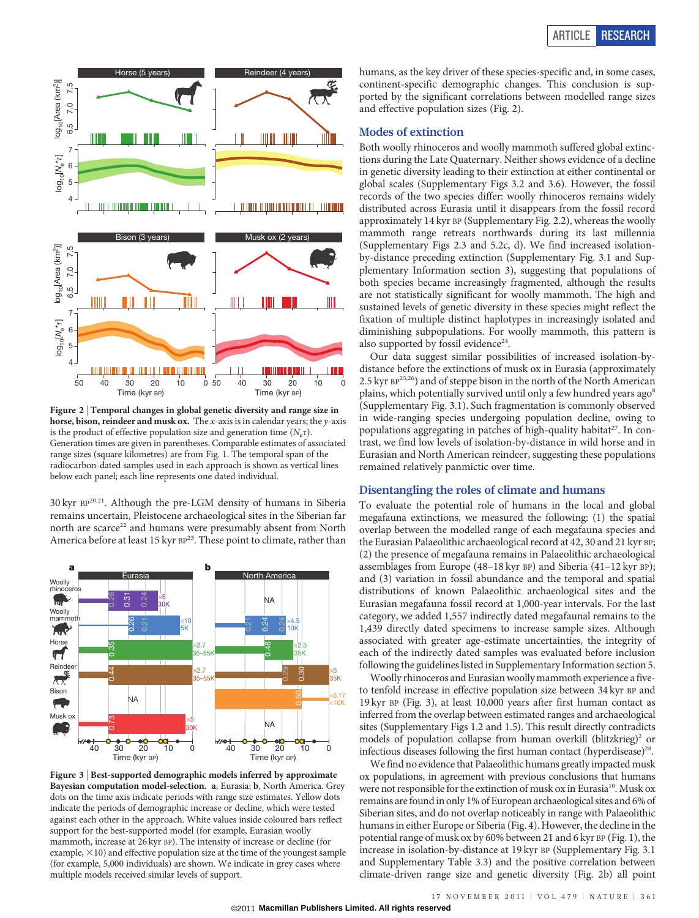

Figure 2 <sup>|</sup> Temporal changes in global genetic diversity and range size in horse, bison, reindeer and musk ox. The *x*-axis is in calendar years; the *y*-axis is the product of effective population size and generation time  $(N_e \tau)$ . Generation times are given in parentheses. Comparable estimates of associated range sizes (square kilometres) are from Fig. 1. The temporal span of the radiocarbon-dated samples used in each approach is shown as vertical lines below each panel; each line represents one dated individual.

30 kyr BP20,21. Although the pre-LGM density of humans in Siberia remains uncertain, Pleistocene archaeological sites in the Siberian far north are scarce<sup>22</sup> and humans were presumably absent from North America before at least 15 kyr  $BP^{23}$ . These point to climate, rather than



Figure 3 <sup>|</sup> Best-supported demographic models inferred by approximate Bayesian computation model-selection. a, Eurasia; b, North America. Grey dots on the time axis indicate periods with range size estimates. Yellow dots indicate the periods of demographic increase or decline, which were tested against each other in the approach. White values inside coloured bars reflect support for the best-supported model (for example, Eurasian woolly mammoth, increase at 26 kyr BP). The intensity of increase or decline (for example,  $\times$ 10) and effective population size at the time of the youngest sample (for example, 5,000 individuals) are shown. We indicate in grey cases where multiple models received similar levels of support.

humans, as the key driver of these species-specific and, in some cases, continent-specific demographic changes. This conclusion is supported by the significant correlations between modelled range sizes and effective population sizes (Fig. 2).

## Modes of extinction

Both woolly rhinoceros and woolly mammoth suffered global extinctions during the Late Quaternary. Neither shows evidence of a decline in genetic diversity leading to their extinction at either continental or global scales (Supplementary Figs 3.2 and 3.6). However, the fossil records of the two species differ: woolly rhinoceros remains widely distributed across Eurasia until it disappears from the fossil record approximately 14 kyr BP (Supplementary Fig. 2.2), whereas the woolly mammoth range retreats northwards during its last millennia (Supplementary Figs 2.3 and 5.2c, d). We find increased isolationby-distance preceding extinction (Supplementary Fig. 3.1 and Supplementary Information section 3), suggesting that populations of both species became increasingly fragmented, although the results are not statistically significant for woolly mammoth. The high and sustained levels of genetic diversity in these species might reflect the fixation of multiple distinct haplotypes in increasingly isolated and diminishing subpopulations. For woolly mammoth, this pattern is also supported by fossil evidence<sup>24</sup>.

Our data suggest similar possibilities of increased isolation-bydistance before the extinctions of musk ox in Eurasia (approximately 2.5 kyr BP25,26) and of steppe bison in the north of the North American plains, which potentially survived until only a few hundred years ago<sup>8</sup> (Supplementary Fig. 3.1). Such fragmentation is commonly observed in wide-ranging species undergoing population decline, owing to populations aggregating in patches of high-quality habitat<sup>27</sup>. In contrast, we find low levels of isolation-by-distance in wild horse and in Eurasian and North American reindeer, suggesting these populations remained relatively panmictic over time.

## Disentangling the roles of climate and humans

To evaluate the potential role of humans in the local and global megafauna extinctions, we measured the following: (1) the spatial overlap between the modelled range of each megafauna species and the Eurasian Palaeolithic archaeological record at 42, 30 and 21 kyr BP; (2) the presence of megafauna remains in Palaeolithic archaeological assemblages from Europe (48–18 kyr BP) and Siberia (41–12 kyr BP); and (3) variation in fossil abundance and the temporal and spatial distributions of known Palaeolithic archaeological sites and the Eurasian megafauna fossil record at 1,000-year intervals. For the last category, we added 1,557 indirectly dated megafaunal remains to the 1,439 directly dated specimens to increase sample sizes. Although associated with greater age-estimate uncertainties, the integrity of each of the indirectly dated samples was evaluated before inclusion following the guidelines listed in Supplementary Information section 5.

Woolly rhinoceros and Eurasian woolly mammoth experience a fiveto tenfold increase in effective population size between 34 kyr BP and 19 kyr BP (Fig. 3), at least 10,000 years after first human contact as inferred from the overlap between estimated ranges and archaeological sites (Supplementary Figs 1.2 and 1.5). This result directly contradicts models of population collapse from human overkill (blitzkrieg)<sup>2</sup> or infectious diseases following the first human contact (hyperdisease)<sup>28</sup>.

We find no evidence that Palaeolithic humans greatly impacted musk ox populations, in agreement with previous conclusions that humans were not responsible for the extinction of musk ox in Eurasia<sup>10</sup>. Musk ox remains are found in only 1% of European archaeological sites and 6% of Siberian sites, and do not overlap noticeably in range with Palaeolithic humans in either Europe or Siberia (Fig. 4). However, the decline in the potential range of musk ox by 60% between 21 and 6 kyr BP (Fig. 1), the increase in isolation-by-distance at 19 kyr BP (Supplementary Fig. 3.1 and Supplementary Table 3.3) and the positive correlation between climate-driven range size and genetic diversity (Fig. 2b) all point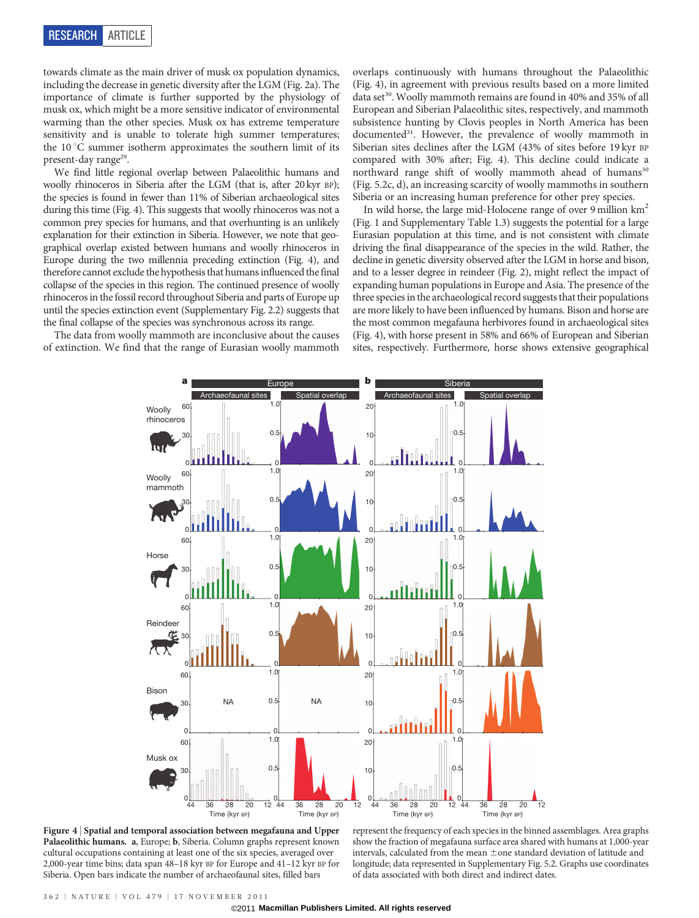towards climate as the main driver of musk ox population dynamics, including the decrease in genetic diversity after the LGM (Fig. 2a). The importance of climate is further supported by the physiology of musk ox, which might be a more sensitive indicator of environmental warming than the other species. Musk ox has extreme temperature sensitivity and is unable to tolerate high summer temperatures; the  $10^{\circ}$ C summer isotherm approximates the southern limit of its present-day range<sup>29</sup>.

We find little regional overlap between Palaeolithic humans and woolly rhinoceros in Siberia after the LGM (that is, after 20 kyr BP); the species is found in fewer than 11% of Siberian archaeological sites during this time (Fig. 4). This suggests that woolly rhinoceros was not a common prey species for humans, and that overhunting is an unlikely explanation for their extinction in Siberia. However, we note that geographical overlap existed between humans and woolly rhinoceros in Europe during the two millennia preceding extinction (Fig. 4), and therefore cannot exclude the hypothesis that humans influenced thefinal collapse of the species in this region. The continued presence of woolly rhinoceros in the fossil record throughout Siberia and parts of Europe up until the species extinction event (Supplementary Fig. 2.2) suggests that the final collapse of the species was synchronous across its range.

The data from woolly mammoth are inconclusive about the causes of extinction. We find that the range of Eurasian woolly mammoth

overlaps continuously with humans throughout the Palaeolithic (Fig. 4), in agreement with previous results based on a more limited data set<sup>30</sup>. Woolly mammoth remains are found in 40% and 35% of all European and Siberian Palaeolithic sites, respectively, and mammoth subsistence hunting by Clovis peoples in North America has been documented<sup>31</sup>. However, the prevalence of woolly mammoth in Siberian sites declines after the LGM (43% of sites before 19 kyr BP compared with 30% after; Fig. 4). This decline could indicate a northward range shift of woolly mammoth ahead of humans<sup>30</sup> (Fig. 5.2c, d), an increasing scarcity of woolly mammoths in southern Siberia or an increasing human preference for other prey species.

In wild horse, the large mid-Holocene range of over 9 million  $km^2$ (Fig. 1 and Supplementary Table 1.3) suggests the potential for a large Eurasian population at this time, and is not consistent with climate driving the final disappearance of the species in the wild. Rather, the decline in genetic diversity observed after the LGM in horse and bison, and to a lesser degree in reindeer (Fig. 2), might reflect the impact of expanding human populations in Europe and Asia. The presence of the three species in the archaeological record suggests that their populations are more likely to have been influenced by humans. Bison and horse are the most common megafauna herbivores found in archaeological sites (Fig. 4), with horse present in 58% and 66% of European and Siberian sites, respectively. Furthermore, horse shows extensive geographical



Figure 4 <sup>|</sup> Spatial and temporal association between megafauna and Upper Palaeolithic humans. a, Europe; b, Siberia. Column graphs represent known cultural occupations containing at least one of the six species, averaged over 2,000-year time bins; data span 48–18 kyr BP for Europe and 41–12 kyr BP for Siberia. Open bars indicate the number of archaeofaunal sites, filled bars

represent the frequency of each species in the binned assemblages. Area graphs show the fraction of megafauna surface area shared with humans at 1,000-year intervals, calculated from the mean  $\pm$  one standard deviation of latitude and longitude; data represented in Supplementary Fig. 5.2. Graphs use coordinates of data associated with both direct and indirect dates.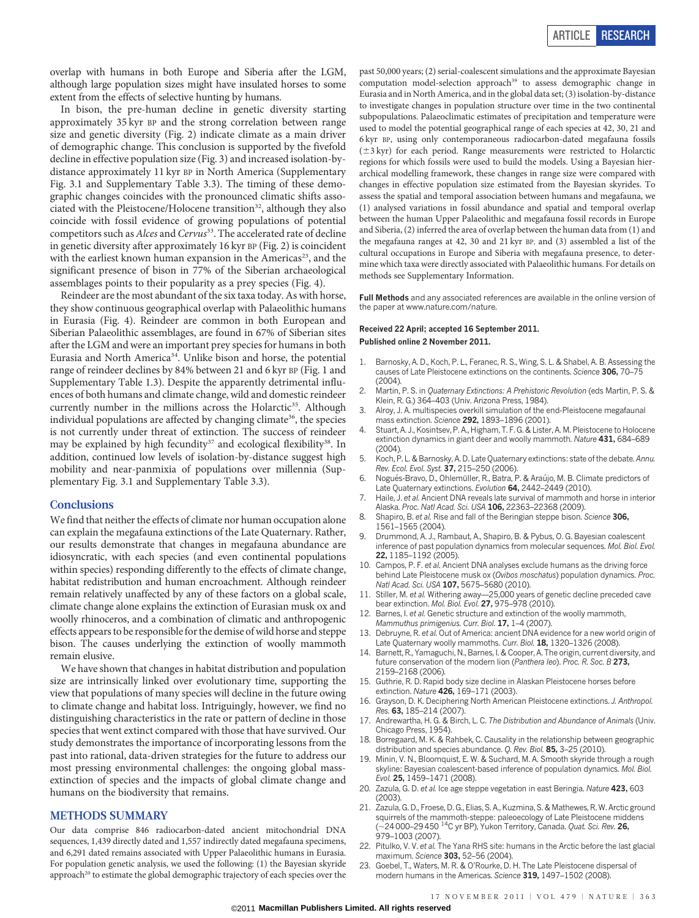overlap with humans in both Europe and Siberia after the LGM, although large population sizes might have insulated horses to some extent from the effects of selective hunting by humans.

In bison, the pre-human decline in genetic diversity starting approximately 35 kyr BP and the strong correlation between range size and genetic diversity (Fig. 2) indicate climate as a main driver of demographic change. This conclusion is supported by the fivefold decline in effective population size (Fig. 3) and increased isolation-bydistance approximately 11 kyr BP in North America (Supplementary Fig. 3.1 and Supplementary Table 3.3). The timing of these demographic changes coincides with the pronounced climatic shifts associated with the Pleistocene/Holocene transition<sup>32</sup>, although they also coincide with fossil evidence of growing populations of potential competitors such as Alces and Cervus<sup>33</sup>. The accelerated rate of decline in genetic diversity after approximately 16 kyr BP (Fig. 2) is coincident with the earliest known human expansion in the Americas<sup>23</sup>, and the significant presence of bison in 77% of the Siberian archaeological assemblages points to their popularity as a prey species (Fig. 4).

Reindeer are the most abundant of the six taxa today. As with horse, they show continuous geographical overlap with Palaeolithic humans in Eurasia (Fig. 4). Reindeer are common in both European and Siberian Palaeolithic assemblages, are found in 67% of Siberian sites after the LGM and were an important prey species for humans in both Eurasia and North America<sup>34</sup>. Unlike bison and horse, the potential range of reindeer declines by 84% between 21 and 6 kyr BP (Fig. 1 and Supplementary Table 1.3). Despite the apparently detrimental influences of both humans and climate change, wild and domestic reindeer currently number in the millions across the Holarctic<sup>35</sup>. Although individual populations are affected by changing climate<sup>36</sup>, the species is not currently under threat of extinction. The success of reindeer may be explained by high fecundity<sup>37</sup> and ecological flexibility<sup>38</sup>. In addition, continued low levels of isolation-by-distance suggest high mobility and near-panmixia of populations over millennia (Supplementary Fig. 3.1 and Supplementary Table 3.3).

#### **Conclusions**

We find that neither the effects of climate nor human occupation alone can explain the megafauna extinctions of the Late Quaternary. Rather, our results demonstrate that changes in megafauna abundance are idiosyncratic, with each species (and even continental populations within species) responding differently to the effects of climate change, habitat redistribution and human encroachment. Although reindeer remain relatively unaffected by any of these factors on a global scale, climate change alone explains the extinction of Eurasian musk ox and woolly rhinoceros, and a combination of climatic and anthropogenic effects appears to be responsiblefor the demise of wild horse and steppe bison. The causes underlying the extinction of woolly mammoth remain elusive.

We have shown that changes in habitat distribution and population size are intrinsically linked over evolutionary time, supporting the view that populations of many species will decline in the future owing to climate change and habitat loss. Intriguingly, however, we find no distinguishing characteristics in the rate or pattern of decline in those species that went extinct compared with those that have survived. Our study demonstrates the importance of incorporating lessons from the past into rational, data-driven strategies for the future to address our most pressing environmental challenges: the ongoing global massextinction of species and the impacts of global climate change and humans on the biodiversity that remains.

### METHODS SUMMARY

Our data comprise 846 radiocarbon-dated ancient mitochondrial DNA sequences, 1,439 directly dated and 1,557 indirectly dated megafauna specimens, and 6,291 dated remains associated with Upper Palaeolithic humans in Eurasia. For population genetic analysis, we used the following: (1) the Bayesian skyride approach<sup>20</sup> to estimate the global demographic trajectory of each species over the

past 50,000 years; (2) serial-coalescent simulations and the approximate Bayesian computation model-selection approach<sup>39</sup> to assess demographic change in Eurasia and in North America, and in the global data set; (3) isolation-by-distance to investigate changes in population structure over time in the two continental subpopulations. Palaeoclimatic estimates of precipitation and temperature were used to model the potential geographical range of each species at 42, 30, 21 and 6 kyr BP, using only contemporaneous radiocarbon-dated megafauna fossils  $(\pm 3 \text{ kyr})$  for each period. Range measurements were restricted to Holarctic regions for which fossils were used to build the models. Using a Bayesian hierarchical modelling framework, these changes in range size were compared with changes in effective population size estimated from the Bayesian skyrides. To assess the spatial and temporal association between humans and megafauna, we (1) analysed variations in fossil abundance and spatial and temporal overlap between the human Upper Palaeolithic and megafauna fossil records in Europe and Siberia, (2) inferred the area of overlap between the human data from (1) and the megafauna ranges at 42, 30 and 21 kyr BP, and (3) assembled a list of the cultural occupations in Europe and Siberia with megafauna presence, to determine which taxa were directly associated with Palaeolithic humans. For details on methods see Supplementary Information.

Full Methods and any associated references are available in the online version of the paper at [www.nature.com/nature.](www.nature.com/nature)

#### Received 22 April; accepted 16 September 2011. Published online 2 November 2011.

- 1. Barnosky, A. D., Koch, P. L., Feranec, R. S., Wing, S. L. & Shabel, A. B. Assessing the causes of Late Pleistocene extinctions on the continents. Science 306, 70-75 (2004).
- 2. Martin, P. S. in Quaternary Extinctions: A Prehistoric Revolution (eds Martin, P. S. & Klein, R. G.) 364–403 (Univ. Arizona Press, 1984).
- Alroy, J. A. multispecies overkill simulation of the end-Pleistocene megafaunal mass extinction. Science 292, 1893–1896 (2001).
- 4. Stuart, A. J., Kosintsev, P. A., Higham, T. F. G. & Lister, A. M. Pleistocene to Holocene extinction dynamics in giant deer and woolly mammoth. Nature 431, 684–689  $(2004)$
- Koch, P. L. & Barnosky, A. D. Late Quaternary extinctions: state of the debate. Annu. Rev. Ecol. Evol. Syst. 37, 215–250 (2006).
- 6. Nogués-Bravo, D., Ohlemüller, R., Batra, P. & Araújo, M. B. Climate predictors of Late Quaternary extinctions. Evolution 64, 2442-2449 (2010).
- 7. Haile, J. et al. Ancient DNA reveals late survival of mammoth and horse in interior Alaska. Proc. Natl Acad. Sci. USA 106, 22363-22368 (2009)
- 8. Shapiro, B. et al. Rise and fall of the Beringian steppe bison. Science 306, 1561–1565 (2004).
- 9. Drummond, A. J., Rambaut, A., Shapiro, B. & Pybus, O. G. Bayesian coalescent inference of past population dynamics from molecular sequences. Mol. Biol. Evol. 22, 1185–1192 (2005).
- 10. Campos, P. F. et al. Ancient DNA analyses exclude humans as the driving force behind Late Pleistocene musk ox (Ovibos moschatus) population dynamics. Proc. Natl Acad. Sci. USA 107, 5675-5680 (2010).
- 11. Stiller, M. et al. Withering away—25,000 years of genetic decline preceded cave bear extinction. Mol. Biol. Evol. 27, 975–978 (2010).
- 12. Barnes, I. et al. Genetic structure and extinction of the woolly mammoth, Mammuthus primigenius. Curr. Biol. 17, 1-4 (2007).
- 13. Debruyne, R. et al. Out of America: ancient DNA evidence for a new world origin of Late Quaternary woolly mammoths. Curr. Biol. 18, 1320-1326 (2008).
- 14. Barnett, R., Yamaguchi, N., Barnes, I. & Cooper, A. The origin, current diversity, and future conservation of the modern lion (Panthera leo). Proc. R. Soc. B 273, 2159–2168 (2006).
- 15. Guthrie, R. D. Rapid body size decline in Alaskan Pleistocene horses before extinction. Nature 426, 169-171 (2003).
- 16. Grayson, D. K. Deciphering North American Pleistocene extinctions. J. Anthropol. Res. 63, 185–214 (2007).
- 17. Andrewartha, H. G. & Birch, L. C. The Distribution and Abundance of Animals (Univ. Chicago Press, 1954).
- 18. Borregaard, M. K. & Rahbek, C. Causality in the relationship between geographic distribution and species abundance. Q. Rev. Biol. 85, 3–25 (2010).
- 19. Minin, V. N., Bloomquist, E. W. & Suchard, M. A. Smooth skyride through a rough skyline: Bayesian coalescent-based inference of population dynamics. Mol. Biol. Evol. 25, 1459-1471 (2008).
- 20. Zazula, G. D. et al. Ice age steppe vegetation in east Beringia. Nature 423, 603  $(2003)$
- 21. Zazula, G. D., Froese, D. G., Elias, S. A., Kuzmina, S. & Mathewes, R. W. Arctic ground squirrels of the mammoth-steppe: paleoecology of Late Pleistocene middens  $(\sim$ 24 000–29 450  $^{14}$ C yr BP), Yukon Territory, Canada. Quat. Sci. Rev. 26, 979–1003 (2007).
- 22. Pitulko, V. V. et al. The Yana RHS site: humans in the Arctic before the last glacial maximum. Science 303, 52–56 (2004).
- 23. Goebel, T., Waters, M. R. & O'Rourke, D. H. The Late Pleistocene dispersal of modern humans in the Americas. Science 319, 1497–1502 (2008).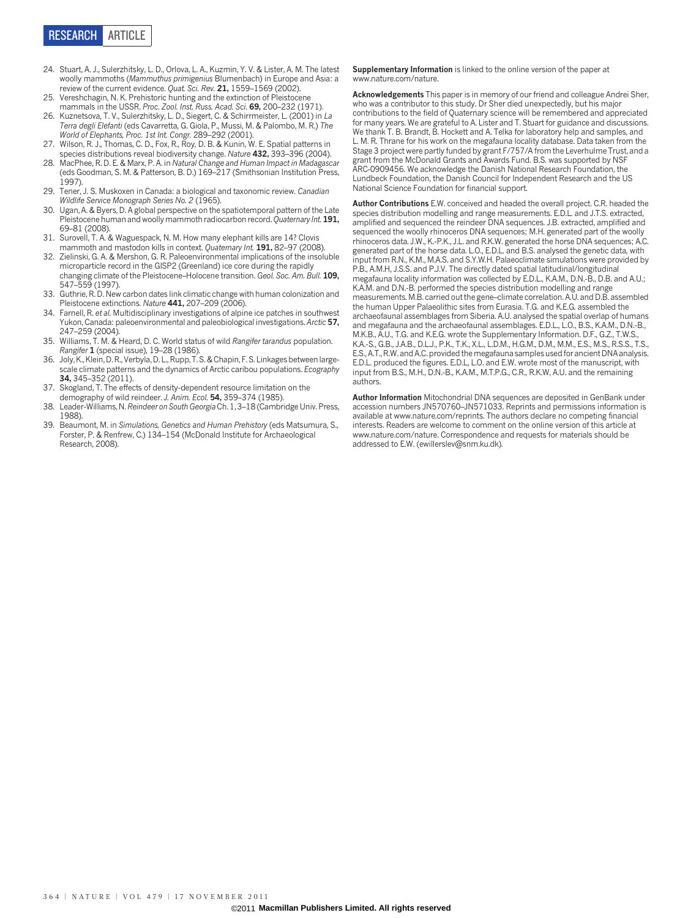- 24. Stuart, A. J., Sulerzhitsky, L. D., Orlova, L. A., Kuzmin, Y. V. & Lister, A. M. The latest woolly mammoths (Mammuthus primigenius Blumenbach) in Europe and Asia: a review of the current evidence. Quat. Sci. Rev. 21, 1559-1569 (2002).
- 25. Vereshchagin, N. K. Prehistoric hunting and the extinction of Pleistocene mammals in the USSR. Proc. Zool. Inst. Russ. Acad. Sci. 69, 200–232 (1971).
- 26. Kuznetsova, T. V., Sulerzhitsky, L. D., Siegert, C. & Schirrmeister, L. (2001) in La Terra degli Elefanti (eds Cavarretta, G. Giola, P., Mussi, M. & Palombo, M. R.) The World of Elephants, Proc. 1st Int. Congr. 289–292 (2001).
- 27. Wilson, R. J., Thomas, C. D., Fox, R., Roy, D. B. & Kunin, W. E. Spatial patterns in species distributions reveal biodiversity change. Nature 432, 393-396 (2004).
- 28. MacPhee, R. D. E. & Marx, P. A. in Natural Change and Human Impact in Madagascar (eds Goodman, S. M. & Patterson, B. D.) 169–217 (Smithsonian Institution Press, 1997).
- 29. Tener, J. S. Muskoxen in Canada: a biological and taxonomic review. Canadian Wildlife Service Monograph Series No. 2 (1965).
- 30. Ugan, A. & Byers, D. A global perspective on the spatiotemporal pattern of the Late Pleistocene human and woolly mammoth radiocarbon record. Quaternary Int. 191, 69-81 (2008)
- 31. Surovell, T. A. & Waguespack, N. M. How many elephant kills are 14? Clovis
- mammoth and mastodon kills in context. Quaternary Int. 191, 82–97 (2008). 32. Zielinski, G. A. & Mershon, G. R. Paleoenvironmental implications of the insoluble microparticle record in the GISP2 (Greenland) ice core during the rapidly
- changing climate of the Pleistocene–Holocene transition. Geol. Soc. Am. Bull. 109, 547–559 (1997).
- 33. Guthrie, R. D. New carbon dates link climatic change with human colonization and Pleistocene extinctions. Nature 441, 207-209 (2006).
- 34. Farnell, R. et al. Multidisciplinary investigations of alpine ice patches in southwest Yukon, Canada: paleoenvironmental and paleobiological investigations. Arctic 57, 247–259 (2004).
- 35. Williams, T. M. & Heard, D. C. World status of wild Rangifer tarandus population. Rangifer 1 (special issue), 19-28 (1986).
- 36. Joly, K., Klein, D. R., Verbyla, D. L., Rupp, T. S. & Chapin, F. S. Linkages between largescale climate patterns and the dynamics of Arctic caribou populations. Ecography 34, 345–352 (2011).
- 37. Skogland, T. The effects of density-dependent resource limitation on the demography of wild reindeer. J. Anim. Ecol. 54, 359-374 (1985)
- 38. Leader-Williams, N.Reindeer on South GeorgiaCh. 1, 3–18 (Cambridge Univ. Press, 1988).
- 39. Beaumont, M. in Simulations, Genetics and Human Prehistory (eds Matsumura, S. Forster, P. & Renfrew, C.) 134–154 (McDonald Institute for Archaeological Research, 2008).

Supplementary Information is linked to the online version of the paper at <www.nature.com/nature>.

Acknowledgements This paper is in memory of our friend and colleague Andrei Sher, who was a contributor to this study. Dr Sher died unexpectedly, but his major contributions to the field of Quaternary science will be remembered and appreciated for many years. We are grateful to A. Lister and T. Stuart for guidance and discussions. We thank T. B. Brandt, B. Hockett and A. Telka for laboratory help and samples, and L. M. R. Thrane for his work on the megafauna locality database. Data taken from the Stage 3 project were partly funded by grant F/757/A from the Leverhulme Trust, and a grant from the McDonald Grants and Awards Fund. B.S. was supported by NSF ARC-0909456. We acknowledge the Danish National Research Foundation, the Lundbeck Foundation, the Danish Council for Independent Research and the US National Science Foundation for financial support.

Author Contributions E.W. conceived and headed the overall project. C.R. headed the species distribution modelling and range measurements. E.D.L. and J.T.S. extracted, amplified and sequenced the reindeer DNA sequences. J.B. extracted, amplified and sequenced the woolly rhinoceros DNA sequences; M.H. generated part of the woolly rhinoceros data. J.W., K.-P.K., J.L. and R.K.W. generated the horse DNA sequences; A.C. generated part of the horse data. L.O., E.D.L. and B.S. analysed the genetic data, with input from R.N., K.M., M.A.S. and S.Y.W.H. Palaeoclimate simulations were provided by P.B., A.M.H, J.S.S. and P.J.V. The directly dated spatial latitudinal/longitudinal megafauna locality information was collected by E.D.L., K.A.M., D.N.-B., D.B. and A.U.; K.A.M. and D.N.-B. performed the species distribution modelling and range measurements. M.B. carried out the gene–climate correlation. A.U. and D.B. assembled the human Upper Palaeolithic sites from Eurasia. T.G. and K.E.G. assembled the archaeofaunal assemblages from Siberia. A.U. analysed the spatial overlap of humans and megafauna and the archaeofaunal assemblages. E.D.L., L.O., B.S., K.A.M., D.N.-B., M.K.B., A.U., T.G. and K.E.G. wrote the Supplementary Information. D.F., G.Z., T.W.S., K.A.-S., G.B., J.A.B., D.L.J., P.K., T.K., X.L., L.D.M., H.G.M., D.M., M.M., E.S., M.S., R.S.S., T.S., E.S., A.T., R.W. and A.C. provided the megafauna samples used for ancient DNA analysis. E.D.L. produced the figures. E.D.L, L.O. and E.W. wrote most of the manuscript, with input from B.S., M.H., D.N.-B., K.A.M., M.T.P.G., C.R., R.K.W, A.U. and the remaining authors.

Author Information Mitochondrial DNA sequences are deposited in GenBank under accession numbers JN570760–JN571033. Reprints and permissions information is available at<www.nature.com/reprints>. The authors declare no competing financial interests. Readers are welcome to comment on the online version of this article at <www.nature.com/nature>. Correspondence and requests for materials should be addressed to E.W. [\(ewillerslev@snm.ku.dk\)](mailto:ewillerslev@snm.ku.dk).